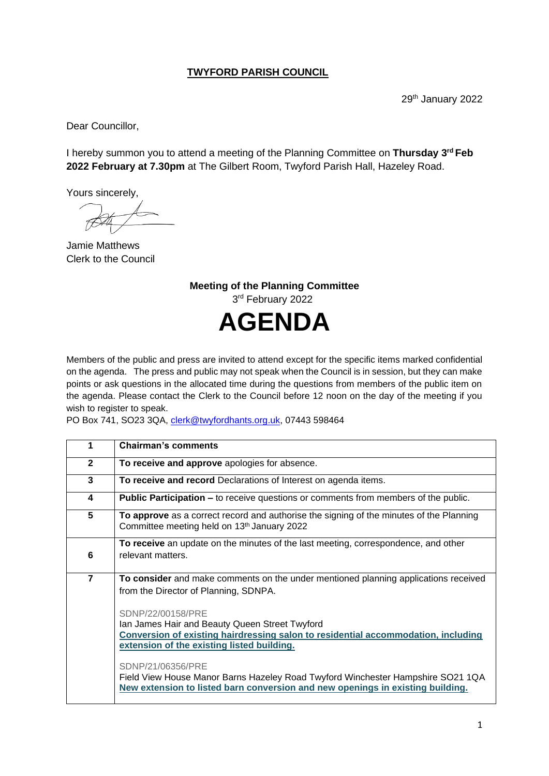## **TWYFORD PARISH COUNCIL**

29<sup>th</sup> January 2022

Dear Councillor,

I hereby summon you to attend a meeting of the Planning Committee on **Thursday 3 rd Feb 2022 February at 7.30pm** at The Gilbert Room, Twyford Parish Hall, Hazeley Road.

Yours sincerely,

Jamie Matthews Clerk to the Council

**Meeting of the Planning Committee** 3rd February 2022 **AGENDA**

Members of the public and press are invited to attend except for the specific items marked confidential on the agenda. The press and public may not speak when the Council is in session, but they can make points or ask questions in the allocated time during the questions from members of the public item on the agenda. Please contact the Clerk to the Council before 12 noon on the day of the meeting if you wish to register to speak.

PO Box 741, SO23 3QA, [clerk@twyfordhants.org.uk,](mailto:clerk@twyfordhants.org.uk) 07443 598464

| 1              | <b>Chairman's comments</b>                                                                                                                                                                                                                                                                                                                                                                       |
|----------------|--------------------------------------------------------------------------------------------------------------------------------------------------------------------------------------------------------------------------------------------------------------------------------------------------------------------------------------------------------------------------------------------------|
| $\mathbf{2}$   | To receive and approve apologies for absence.                                                                                                                                                                                                                                                                                                                                                    |
| 3              | To receive and record Declarations of Interest on agenda items.                                                                                                                                                                                                                                                                                                                                  |
| 4              | <b>Public Participation –</b> to receive questions or comments from members of the public.                                                                                                                                                                                                                                                                                                       |
| 5              | To approve as a correct record and authorise the signing of the minutes of the Planning<br>Committee meeting held on 13th January 2022                                                                                                                                                                                                                                                           |
|                | To receive an update on the minutes of the last meeting, correspondence, and other                                                                                                                                                                                                                                                                                                               |
| 6              | relevant matters.                                                                                                                                                                                                                                                                                                                                                                                |
| $\overline{7}$ | To consider and make comments on the under mentioned planning applications received<br>from the Director of Planning, SDNPA.                                                                                                                                                                                                                                                                     |
|                | SDNP/22/00158/PRE<br>Ian James Hair and Beauty Queen Street Twyford<br>Conversion of existing hairdressing salon to residential accommodation, including<br>extension of the existing listed building.<br>SDNP/21/06356/PRE<br>Field View House Manor Barns Hazeley Road Twyford Winchester Hampshire SO21 1QA<br>New extension to listed barn conversion and new openings in existing building. |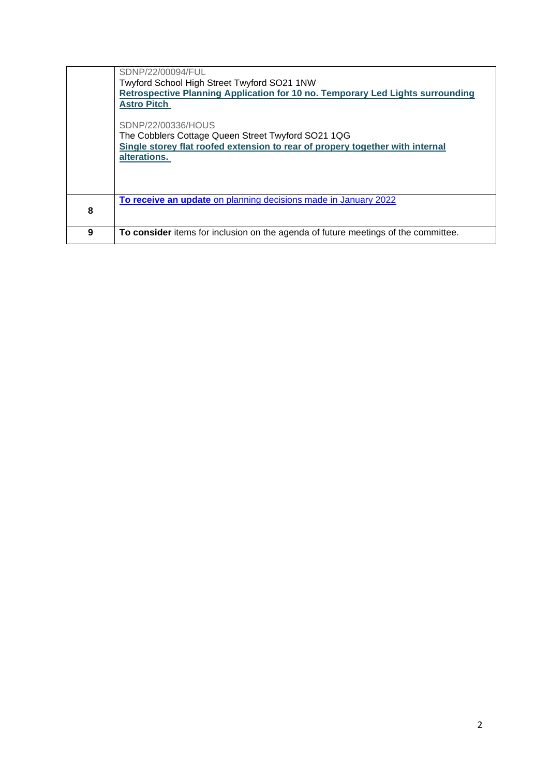|   | SDNP/22/00094/FUL                                                                                                                                                         |
|---|---------------------------------------------------------------------------------------------------------------------------------------------------------------------------|
|   | Twyford School High Street Twyford SO21 1NW                                                                                                                               |
|   | Retrospective Planning Application for 10 no. Temporary Led Lights surrounding                                                                                            |
|   | <b>Astro Pitch</b>                                                                                                                                                        |
|   | SDNP/22/00336/HOUS<br>The Cobblers Cottage Queen Street Twyford SO21 1QG<br>Single storey flat roofed extension to rear of propery together with internal<br>alterations. |
|   | To receive an update on planning decisions made in January 2022                                                                                                           |
| 8 |                                                                                                                                                                           |
|   |                                                                                                                                                                           |
| 9 | To consider items for inclusion on the agenda of future meetings of the committee.                                                                                        |